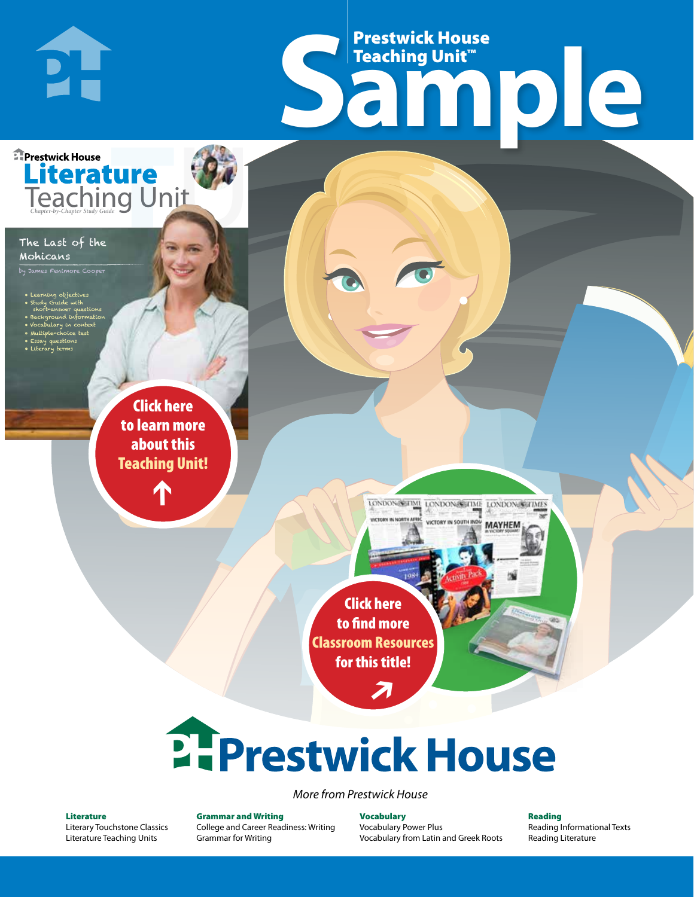## Frestwick House<br>
Sample Prestwick House Teaching Unit™

LONDON-SCITME LONDON/SCITME LONDON/SCITMES University ou Cold

**MAYHEM** 

**Prestwick House** Literature

#### The Last of the Mohicans

**PH** 

by James Fenimore Cooper

• Learning objectives

- Study Guide with short-answer questions
- Background information
- Vocabulary in context • Multiple-choice test

CHARLES DICKENS

- Essay questions
- **A Tale of Two Cities** • Literary terms

r e o r d e r n o . x x x x x x Click here to learn more about this [Teaching Unit!](https://www.prestwickhouse.com/pdf/id-301608/Last_of_the_Mohicans_The_-_Downloadable_Teaching_Unit)

 $\mathbf{T}$ 

1

Click here to find more [Classroom Resources](http://teaching-english.prestwickhouse.com/search#w=last%20of%20the%20mohicans?)  for this title!

 $\overline{\boldsymbol{\lambda}}$ 

# 2. Prestwick House

### *More from Prestwick House*

#### Literature

[Literary Touchstone Classics](https://www.prestwickhouse.com/literary-touchstone-classics) [Literature Teaching Units](https://www.prestwickhouse.com/teaching-units)

Grammar and Writing [College and Career Readiness: Writing](https://www.prestwickhouse.com/college-and-career-readiness-writing) [Grammar for Writing](https://www.prestwickhouse.com/book/id-302639/Grammar_for_Writing_-_30_Books_and_Teachers_Edition)

**Vocabulary** [Vocabulary Power Plus](https://www.prestwickhouse.com/vocabulary-power-plus-for-college-and-career-readiness) [Vocabulary from Latin and Greek Roots](https://www.prestwickhouse.com/vocabulary-from-latin-and-greek-roots) Reading

[Reading Informational Texts](https://www.prestwickhouse.com/reading-informational-texts) [Reading Literature](https://www.prestwickhouse.com/reading-literature)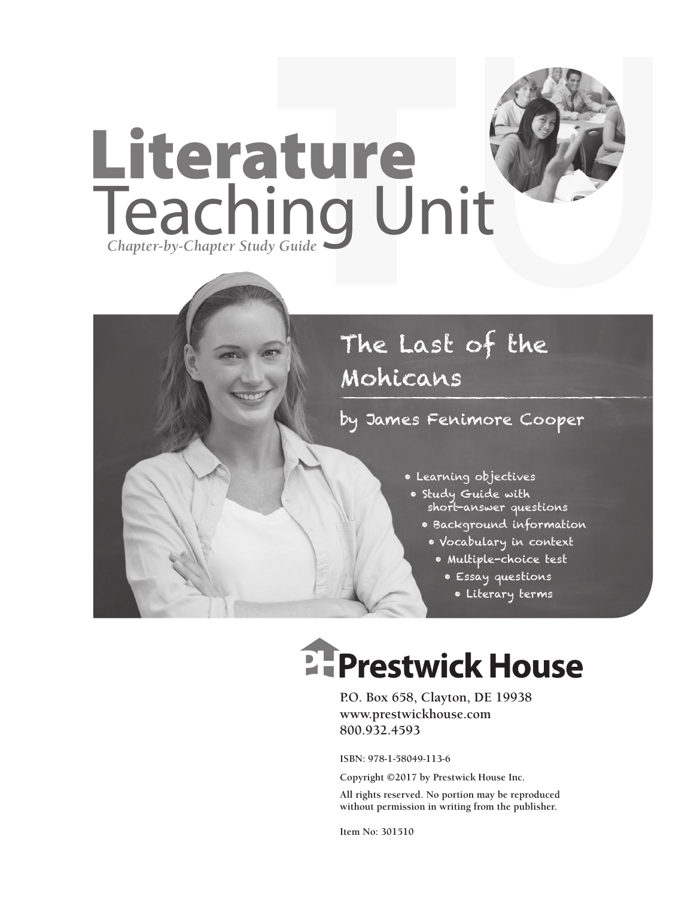

### The Last of the Mohicans

### by James Fenimore Cooper

- Learning objectives
- Study Guide with short-answer questions
	- Background information
		- Vocabulary in context
			- Multiple-choice test
				- Essay questions
					- Literary terms

## **E-Prestwick House**

**P.O. Box 658, Clayton, DE 19938 www.prestwickhouse.com 800.932.4593**

**ISBN: 978-1-58049-113-6**

**Copyright ©2017 by Prestwick House Inc.**

**All rights reserved. No portion may be reproduced without permission in writing from the publisher.** 

**Item No: 301510**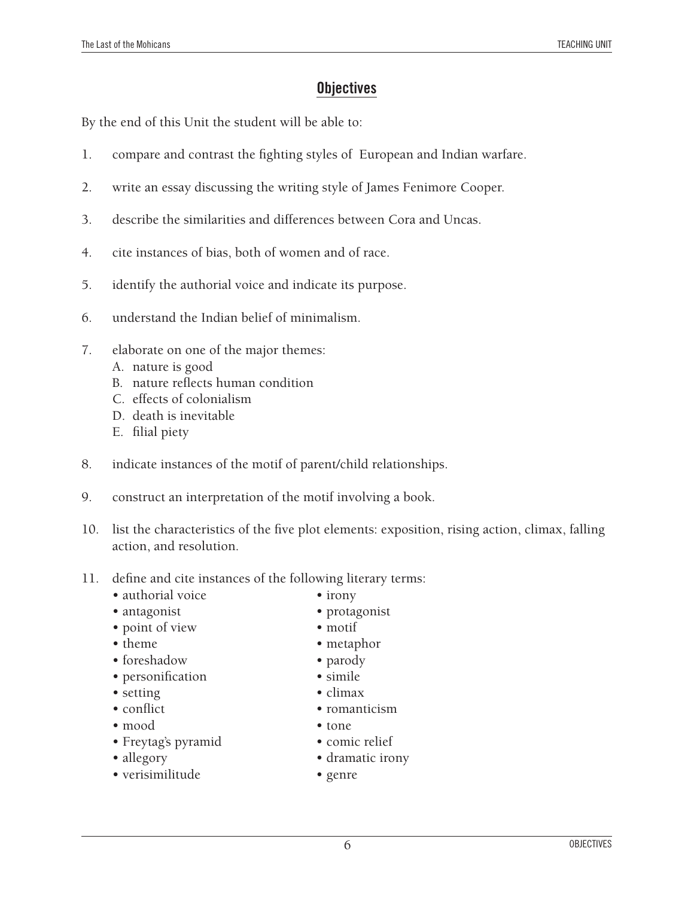### **Objectives**

By the end of this Unit the student will be able to:

- 1. compare and contrast the fighting styles of European and Indian warfare.
- 2. write an essay discussing the writing style of James Fenimore Cooper.
- 3. describe the similarities and differences between Cora and Uncas.
- 4. cite instances of bias, both of women and of race.
- 5. identify the authorial voice and indicate its purpose.
- 6. understand the Indian belief of minimalism.
- 7. elaborate on one of the major themes:
	- A. nature is good
	- B. nature reflects human condition
	- C. effects of colonialism
	- D. death is inevitable
	- E. filial piety
- 8. indicate instances of the motif of parent/child relationships.
- 9. construct an interpretation of the motif involving a book.
- 10. list the characteristics of the five plot elements: exposition, rising action, climax, falling action, and resolution.
- 11. define and cite instances of the following literary terms:
	- authorial voice irony
	- antagonist protagonist
	- point of view motif
	-
	- foreshadow parody
	- personification simile
	- setting climax
	-
	- mood tone
	- Freytag's pyramid comic relief
	-
	- verisimilitude genre
- 
- 
- theme metaphor
	-
	-
	-
- conflict romanticism
	-
	-
- allegory dramatic irony
	-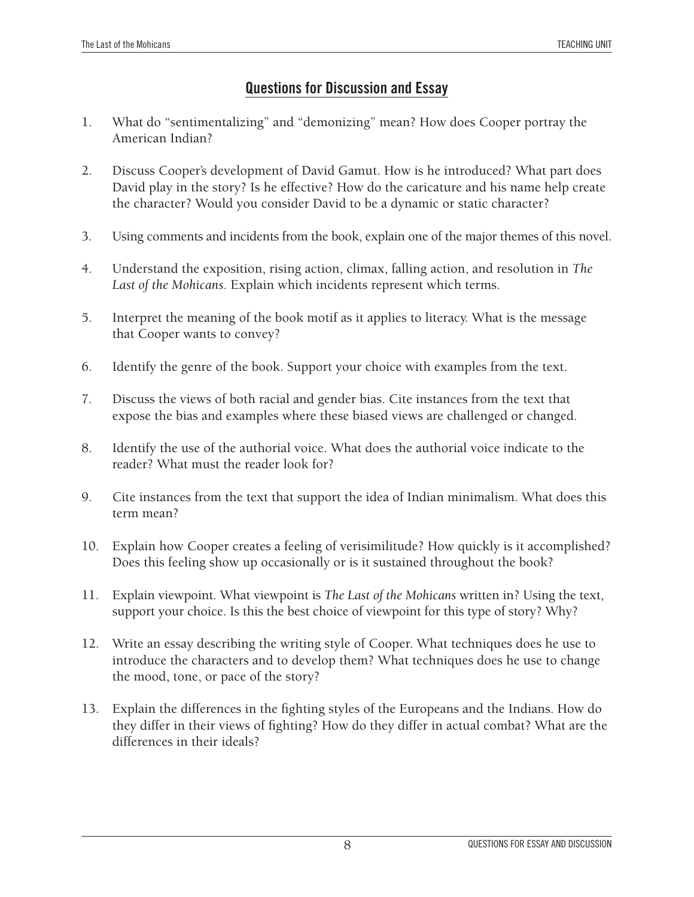### **Questions for Discussion and Essay**

- 1. What do "sentimentalizing" and "demonizing" mean? How does Cooper portray the American Indian?
- 2. Discuss Cooper's development of David Gamut. How is he introduced? What part does David play in the story? Is he effective? How do the caricature and his name help create the character? Would you consider David to be a dynamic or static character?
- 3. Using comments and incidents from the book, explain one of the major themes of this novel.
- 4. Understand the exposition, rising action, climax, falling action, and resolution in *The Last of the Mohicans*. Explain which incidents represent which terms.
- 5. Interpret the meaning of the book motif as it applies to literacy. What is the message that Cooper wants to convey?
- 6. Identify the genre of the book. Support your choice with examples from the text.
- 7. Discuss the views of both racial and gender bias. Cite instances from the text that expose the bias and examples where these biased views are challenged or changed.
- 8. Identify the use of the authorial voice. What does the authorial voice indicate to the reader? What must the reader look for?
- 9. Cite instances from the text that support the idea of Indian minimalism. What does this term mean?
- 10. Explain how Cooper creates a feeling of verisimilitude? How quickly is it accomplished? Does this feeling show up occasionally or is it sustained throughout the book?
- 11. Explain viewpoint. What viewpoint is *The Last of the Mohicans* written in? Using the text, support your choice. Is this the best choice of viewpoint for this type of story? Why?
- 12. Write an essay describing the writing style of Cooper. What techniques does he use to introduce the characters and to develop them? What techniques does he use to change the mood, tone, or pace of the story?
- 13. Explain the differences in the fighting styles of the Europeans and the Indians. How do they differ in their views of fighting? How do they differ in actual combat? What are the differences in their ideals?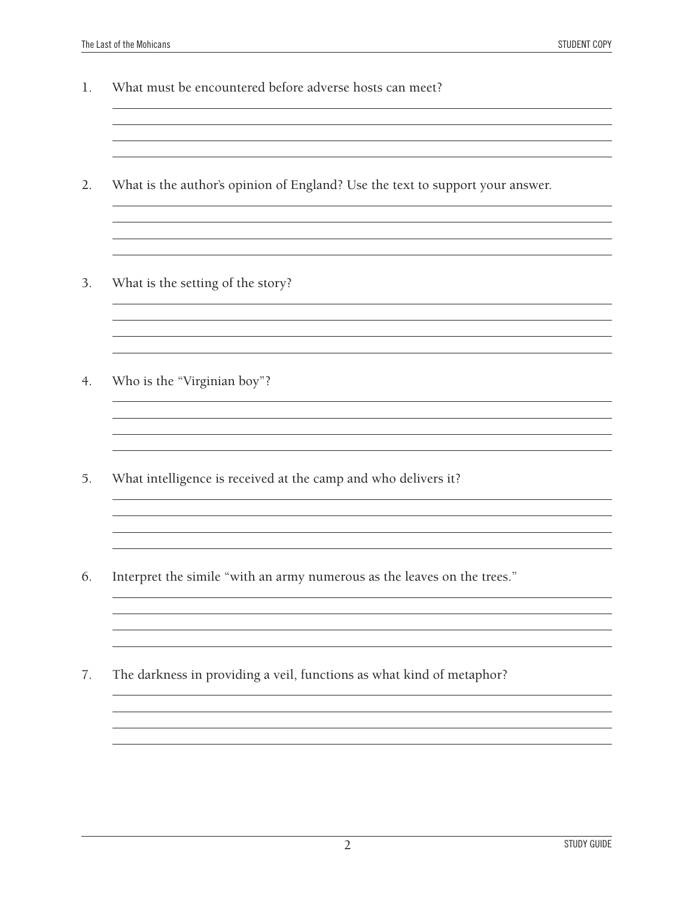- 1. What must be encountered before adverse hosts can meet?
- 2. What is the author's opinion of England? Use the text to support your answer.

and the control of the control of the control of the control of the control of the control of the control of the

and the control of the control of the control of the control of the control of the control of the control of the <u> 1989 - Andrea Station Barbara, actor a component de la componentación de la componentación de la componentaci</u>

the control of the control of the control of the control of the control of the control of the control of the control of the control of the control of the control of the control of the control of the control of the control

and the control of the control of the control of the control of the control of the control of the control of the

<u> 1989 - Johann Stoff, amerikansk politiker (d. 1989)</u>

<u> 1989 - Johann Stoff, deutscher Stoffen und der Stoffen und der Stoffen und der Stoffen und der Stoffen und der</u>

- 3. What is the setting of the story?
- 4. Who is the "Virginian boy"?
- 5. What intelligence is received at the camp and who delivers it?
- 6. Interpret the simile "with an army numerous as the leaves on the trees."
- 7. The darkness in providing a veil, functions as what kind of metaphor?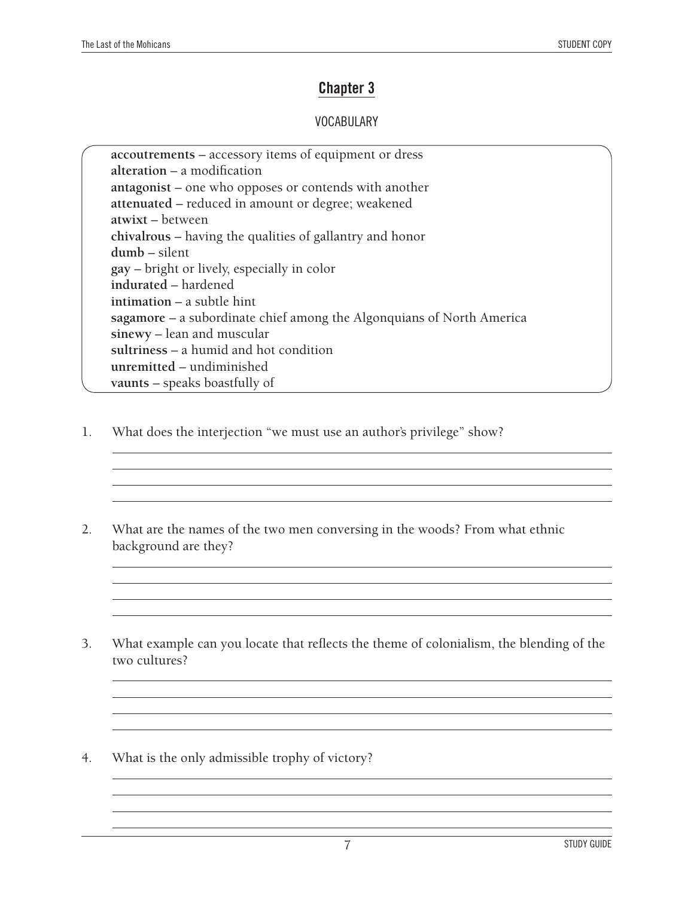### **Chapter 3**

### **VOCABULARY**

**accoutrements** – accessory items of equipment or dress **alteration** – a modification **antagonist** – one who opposes or contends with another **attenuated** – reduced in amount or degree; weakened **atwixt** – between **chivalrous** – having the qualities of gallantry and honor **dumb** – silent **gay** – bright or lively, especially in color **indurated** – hardened **intimation** – a subtle hint **sagamore** – a subordinate chief among the Algonquians of North America **sinewy** – lean and muscular **sultriness** – a humid and hot condition **unremitted** – undiminished **vaunts** – speaks boastfully of

- 1. What does the interjection "we must use an author's privilege" show?
- 2. What are the names of the two men conversing in the woods? From what ethnic background are they?
- 3. What example can you locate that reflects the theme of colonialism, the blending of the two cultures?
- 4. What is the only admissible trophy of victory?